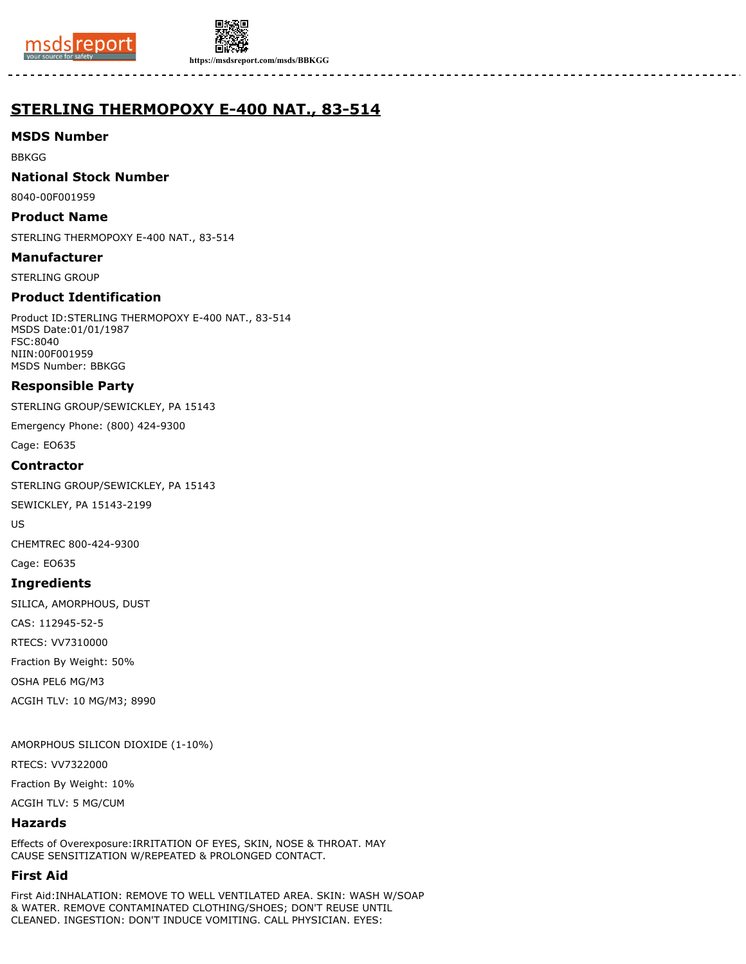



**https://msdsreport.com/msds/BBKGG**

# **STERLING THERMOPOXY E-400 NAT., 83-514**

#### **MSDS Number**

BBKGG

#### **National Stock Number**

8040-00F001959

#### **Product Name**

STERLING THERMOPOXY E-400 NAT., 83-514

#### **Manufacturer**

STERLING GROUP

## **Product Identification**

Product ID:STERLING THERMOPOXY E-400 NAT., 83-514 MSDS Date:01/01/1987 FSC:8040 NIIN:00F001959 MSDS Number: BBKGG

## **Responsible Party**

STERLING GROUP/SEWICKLEY, PA 15143

Emergency Phone: (800) 424-9300

Cage: EO635

#### **Contractor**

STERLING GROUP/SEWICKLEY, PA 15143

SEWICKLEY, PA 15143-2199

US

CHEMTREC 800-424-9300

Cage: EO635

#### **Ingredients**

SILICA, AMORPHOUS, DUST

CAS: 112945-52-5

RTECS: VV7310000

Fraction By Weight: 50%

OSHA PEL6 MG/M3

ACGIH TLV: 10 MG/M3; 8990

AMORPHOUS SILICON DIOXIDE (1-10%)

RTECS: VV7322000

Fraction By Weight: 10%

ACGIH TLV: 5 MG/CUM

## **Hazards**

Effects of Overexposure:IRRITATION OF EYES, SKIN, NOSE & THROAT. MAY CAUSE SENSITIZATION W/REPEATED & PROLONGED CONTACT.

## **First Aid**

First Aid:INHALATION: REMOVE TO WELL VENTILATED AREA. SKIN: WASH W/SOAP & WATER. REMOVE CONTAMINATED CLOTHING/SHOES; DON'T REUSE UNTIL CLEANED. INGESTION: DON'T INDUCE VOMITING. CALL PHYSICIAN. EYES: